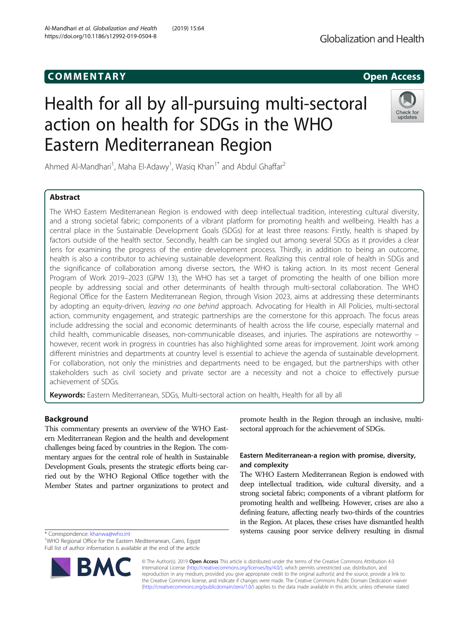# COMM EN TARY Open Access



# Health for all by all-pursuing multi-sectoral action on health for SDGs in the WHO Eastern Mediterranean Region



Ahmed Al-Mandhari<sup>1</sup>, Maha El-Adawy<sup>1</sup>, Wasiq Khan<sup>1\*</sup> and Abdul Ghaffar<sup>2</sup>

# Abstract

The WHO Eastern Mediterranean Region is endowed with deep intellectual tradition, interesting cultural diversity, and a strong societal fabric; components of a vibrant platform for promoting health and wellbeing. Health has a central place in the Sustainable Development Goals (SDGs) for at least three reasons: Firstly, health is shaped by factors outside of the health sector. Secondly, health can be singled out among several SDGs as it provides a clear lens for examining the progress of the entire development process. Thirdly, in addition to being an outcome, health is also a contributor to achieving sustainable development. Realizing this central role of health in SDGs and the significance of collaboration among diverse sectors, the WHO is taking action. In its most recent General Program of Work 2019–2023 (GPW 13), the WHO has set a target of promoting the health of one billion more people by addressing social and other determinants of health through multi-sectoral collaboration. The WHO Regional Office for the Eastern Mediterranean Region, through Vision 2023, aims at addressing these determinants by adopting an equity-driven, leaving no one behind approach. Advocating for Health in All Policies, multi-sectoral action, community engagement, and strategic partnerships are the cornerstone for this approach. The focus areas include addressing the social and economic determinants of health across the life course, especially maternal and child health, communicable diseases, non-communicable diseases, and injuries. The aspirations are noteworthy – however, recent work in progress in countries has also highlighted some areas for improvement. Joint work among different ministries and departments at country level is essential to achieve the agenda of sustainable development. For collaboration, not only the ministries and departments need to be engaged, but the partnerships with other stakeholders such as civil society and private sector are a necessity and not a choice to effectively pursue achievement of SDGs.

Keywords: Eastern Mediterranean, SDGs, Multi-sectoral action on health, Health for all by all

# Background

This commentary presents an overview of the WHO Eastern Mediterranean Region and the health and development challenges being faced by countries in the Region. The commentary argues for the central role of health in Sustainable Development Goals, presents the strategic efforts being carried out by the WHO Regional Office together with the Member States and partner organizations to protect and

promote health in the Region through an inclusive, multisectoral approach for the achievement of SDGs.

# Eastern Mediterranean-a region with promise, diversity, and complexity

The WHO Eastern Mediterranean Region is endowed with deep intellectual tradition, wide cultural diversity, and a strong societal fabric; components of a vibrant platform for promoting health and wellbeing. However, crises are also a defining feature, affecting nearly two-thirds of the countries in the Region. At places, these crises have dismantled health systems causing poor service delivery resulting in dismal

\* Correspondence: [khanwa@who.int](mailto:khanwa@who.int) <sup>1</sup>

<sup>1</sup>WHO Regional Office for the Eastern Mediterranean, Cairo, Egypt Full list of author information is available at the end of the article



© The Author(s). 2019 Open Access This article is distributed under the terms of the Creative Commons Attribution 4.0 International License [\(http://creativecommons.org/licenses/by/4.0/](http://creativecommons.org/licenses/by/4.0/)), which permits unrestricted use, distribution, and reproduction in any medium, provided you give appropriate credit to the original author(s) and the source, provide a link to the Creative Commons license, and indicate if changes were made. The Creative Commons Public Domain Dedication waiver [\(http://creativecommons.org/publicdomain/zero/1.0/](http://creativecommons.org/publicdomain/zero/1.0/)) applies to the data made available in this article, unless otherwise stated.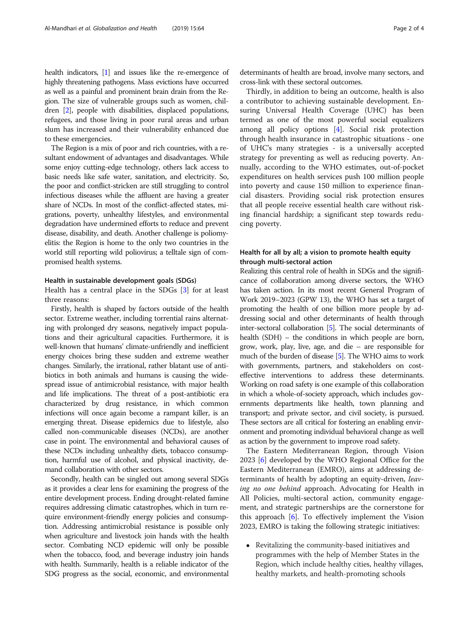health indicators, [\[1](#page-3-0)] and issues like the re-emergence of highly threatening pathogens. Mass evictions have occurred as well as a painful and prominent brain drain from the Region. The size of vulnerable groups such as women, children [\[2\]](#page-3-0), people with disabilities, displaced populations, refugees, and those living in poor rural areas and urban slum has increased and their vulnerability enhanced due to these emergencies.

The Region is a mix of poor and rich countries, with a resultant endowment of advantages and disadvantages. While some enjoy cutting-edge technology, others lack access to basic needs like safe water, sanitation, and electricity. So, the poor and conflict-stricken are still struggling to control infectious diseases while the affluent are having a greater share of NCDs. In most of the conflict-affected states, migrations, poverty, unhealthy lifestyles, and environmental degradation have undermined efforts to reduce and prevent disease, disability, and death. Another challenge is poliomyelitis: the Region is home to the only two countries in the world still reporting wild poliovirus; a telltale sign of compromised health systems.

#### Health in sustainable development goals (SDGs)

Health has a central place in the SDGs [\[3](#page-3-0)] for at least three reasons:

Firstly, health is shaped by factors outside of the health sector. Extreme weather, including torrential rains alternating with prolonged dry seasons, negatively impact populations and their agricultural capacities. Furthermore, it is well-known that humans' climate-unfriendly and inefficient energy choices bring these sudden and extreme weather changes. Similarly, the irrational, rather blatant use of antibiotics in both animals and humans is causing the widespread issue of antimicrobial resistance, with major health and life implications. The threat of a post-antibiotic era characterized by drug resistance, in which common infections will once again become a rampant killer, is an emerging threat. Disease epidemics due to lifestyle, also called non-communicable diseases (NCDs), are another case in point. The environmental and behavioral causes of these NCDs including unhealthy diets, tobacco consumption, harmful use of alcohol, and physical inactivity, demand collaboration with other sectors.

Secondly, health can be singled out among several SDGs as it provides a clear lens for examining the progress of the entire development process. Ending drought-related famine requires addressing climatic catastrophes, which in turn require environment-friendly energy policies and consumption. Addressing antimicrobial resistance is possible only when agriculture and livestock join hands with the health sector. Combating NCD epidemic will only be possible when the tobacco, food, and beverage industry join hands with health. Summarily, health is a reliable indicator of the SDG progress as the social, economic, and environmental

determinants of health are broad, involve many sectors, and cross-link with these sectoral outcomes.

Thirdly, in addition to being an outcome, health is also a contributor to achieving sustainable development. Ensuring Universal Health Coverage (UHC) has been termed as one of the most powerful social equalizers among all policy options [[4\]](#page-3-0). Social risk protection through health insurance in catastrophic situations - one of UHC's many strategies - is a universally accepted strategy for preventing as well as reducing poverty. Annually, according to the WHO estimates, out-of-pocket expenditures on health services push 100 million people into poverty and cause 150 million to experience financial disasters. Providing social risk protection ensures that all people receive essential health care without risking financial hardship; a significant step towards reducing poverty.

# Health for all by all; a vision to promote health equity through multi-sectoral action

Realizing this central role of health in SDGs and the significance of collaboration among diverse sectors, the WHO has taken action. In its most recent General Program of Work 2019–2023 (GPW 13), the WHO has set a target of promoting the health of one billion more people by addressing social and other determinants of health through inter-sectoral collaboration [[5](#page-3-0)]. The social determinants of health (SDH) – the conditions in which people are born, grow, work, play, live, age, and die – are responsible for much of the burden of disease [\[5\]](#page-3-0). The WHO aims to work with governments, partners, and stakeholders on costeffective interventions to address these determinants. Working on road safety is one example of this collaboration in which a whole-of-society approach, which includes governments departments like health, town planning and transport; and private sector, and civil society, is pursued. These sectors are all critical for fostering an enabling environment and promoting individual behavioral change as well as action by the government to improve road safety.

The Eastern Mediterranean Region, through Vision 2023 [[6\]](#page-3-0) developed by the WHO Regional Office for the Eastern Mediterranean (EMRO), aims at addressing determinants of health by adopting an equity-driven, *leav*ing no one behind approach. Advocating for Health in All Policies, multi-sectoral action, community engagement, and strategic partnerships are the cornerstone for this approach [[6\]](#page-3-0). To effectively implement the Vision 2023, EMRO is taking the following strategic initiatives:

 Revitalizing the community-based initiatives and programmes with the help of Member States in the Region, which include healthy cities, healthy villages, healthy markets, and health-promoting schools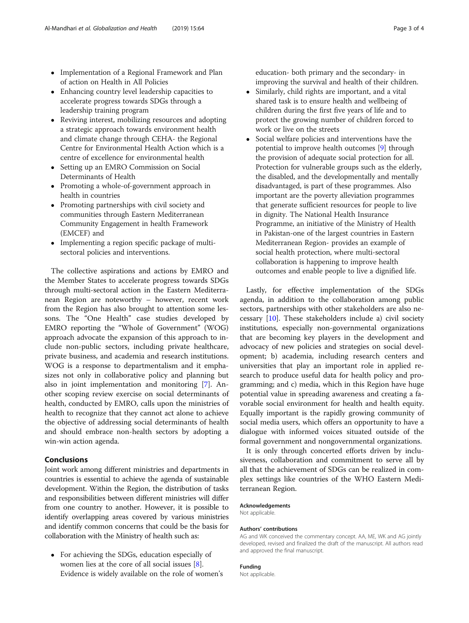- Implementation of a Regional Framework and Plan of action on Health in All Policies
- Enhancing country level leadership capacities to accelerate progress towards SDGs through a leadership training program
- Reviving interest, mobilizing resources and adopting a strategic approach towards environment health and climate change through CEHA- the Regional Centre for Environmental Health Action which is a centre of excellence for environmental health
- Setting up an EMRO Commission on Social Determinants of Health
- Promoting a whole-of-government approach in health in countries
- Promoting partnerships with civil society and communities through Eastern Mediterranean Community Engagement in health Framework (EMCEF) and
- Implementing a region specific package of multisectoral policies and interventions.

The collective aspirations and actions by EMRO and the Member States to accelerate progress towards SDGs through multi-sectoral action in the Eastern Mediterranean Region are noteworthy – however, recent work from the Region has also brought to attention some lessons. The "One Health" case studies developed by EMRO reporting the "Whole of Government" (WOG) approach advocate the expansion of this approach to include non-public sectors, including private healthcare, private business, and academia and research institutions. WOG is a response to departmentalism and it emphasizes not only in collaborative policy and planning but also in joint implementation and monitoring [\[7](#page-3-0)]. Another scoping review exercise on social determinants of health, conducted by EMRO, calls upon the ministries of health to recognize that they cannot act alone to achieve the objective of addressing social determinants of health and should embrace non-health sectors by adopting a win-win action agenda.

## Conclusions

Joint work among different ministries and departments in countries is essential to achieve the agenda of sustainable development. Within the Region, the distribution of tasks and responsibilities between different ministries will differ from one country to another. However, it is possible to identify overlapping areas covered by various ministries and identify common concerns that could be the basis for collaboration with the Ministry of health such as:

• For achieving the SDGs, education especially of women lies at the core of all social issues [[8](#page-3-0)]. Evidence is widely available on the role of women's education- both primary and the secondary- in improving the survival and health of their children.

- Similarly, child rights are important, and a vital shared task is to ensure health and wellbeing of children during the first five years of life and to protect the growing number of children forced to work or live on the streets
- Social welfare policies and interventions have the potential to improve health outcomes [[9\]](#page-3-0) through the provision of adequate social protection for all. Protection for vulnerable groups such as the elderly, the disabled, and the developmentally and mentally disadvantaged, is part of these programmes. Also important are the poverty alleviation programmes that generate sufficient resources for people to live in dignity. The National Health Insurance Programme, an initiative of the Ministry of Health in Pakistan-one of the largest countries in Eastern Mediterranean Region- provides an example of social health protection, where multi-sectoral collaboration is happening to improve health outcomes and enable people to live a dignified life.

Lastly, for effective implementation of the SDGs agenda, in addition to the collaboration among public sectors, partnerships with other stakeholders are also necessary [[10\]](#page-3-0). These stakeholders include a) civil society institutions, especially non-governmental organizations that are becoming key players in the development and advocacy of new policies and strategies on social development; b) academia, including research centers and universities that play an important role in applied research to produce useful data for health policy and programming; and c) media, which in this Region have huge potential value in spreading awareness and creating a favorable social environment for health and health equity. Equally important is the rapidly growing community of social media users, which offers an opportunity to have a dialogue with informed voices situated outside of the formal government and nongovernmental organizations.

It is only through concerted efforts driven by inclusiveness, collaboration and commitment to serve all by all that the achievement of SDGs can be realized in complex settings like countries of the WHO Eastern Mediterranean Region.

#### Acknowledgements

Not applicable.

#### Authors' contributions

AG and WK conceived the commentary concept. AA, ME, WK and AG jointly developed, revised and finalized the draft of the manuscript. All authors read and approved the final manuscript.

# Funding

Not applicable.